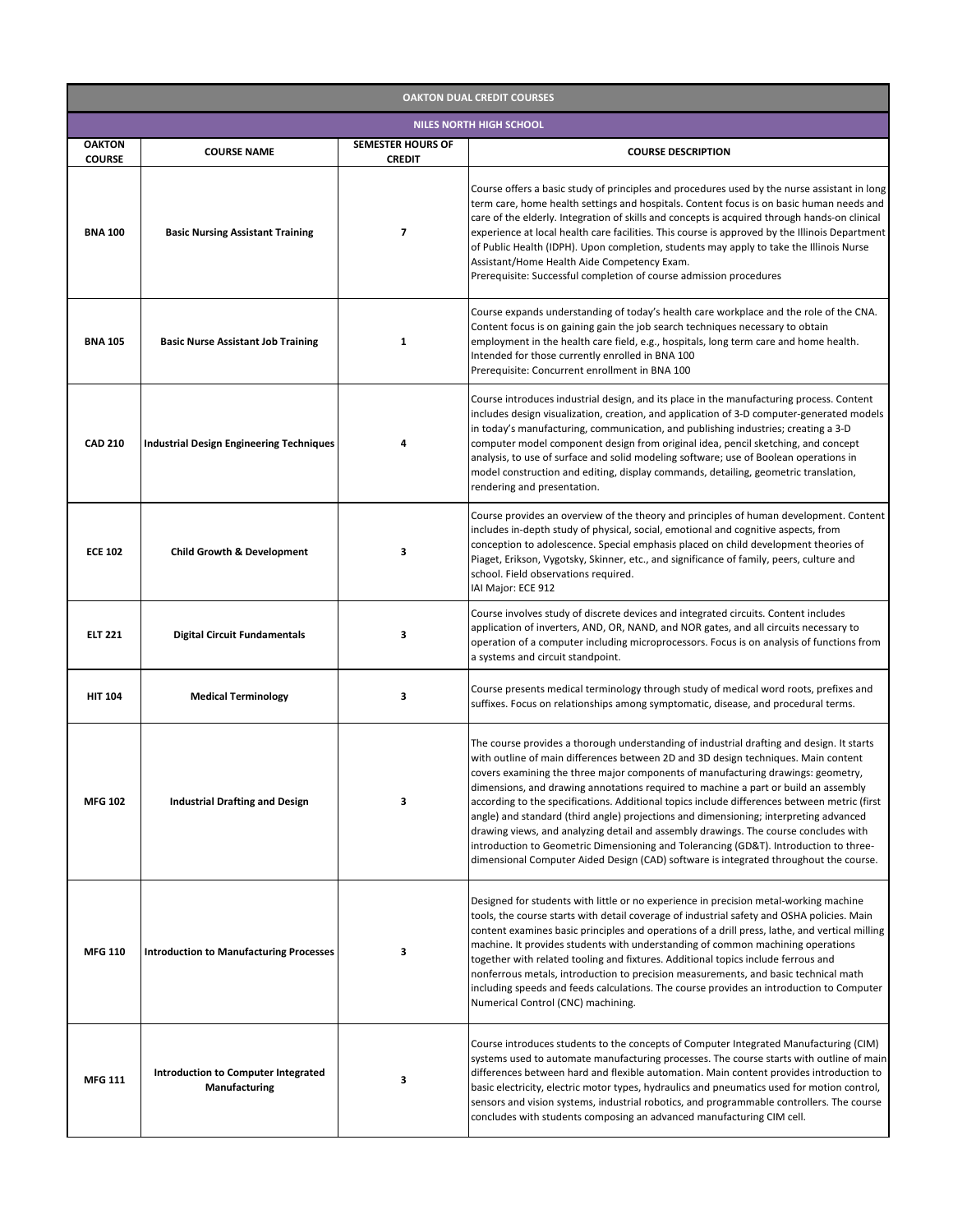| <b>OAKTON DUAL CREDIT COURSES</b> |                                                                    |                                           |                                                                                                                                                                                                                                                                                                                                                                                                                                                                                                                                                                                                                                                                                                                                                                                                                               |  |  |
|-----------------------------------|--------------------------------------------------------------------|-------------------------------------------|-------------------------------------------------------------------------------------------------------------------------------------------------------------------------------------------------------------------------------------------------------------------------------------------------------------------------------------------------------------------------------------------------------------------------------------------------------------------------------------------------------------------------------------------------------------------------------------------------------------------------------------------------------------------------------------------------------------------------------------------------------------------------------------------------------------------------------|--|--|
| <b>NILES NORTH HIGH SCHOOL</b>    |                                                                    |                                           |                                                                                                                                                                                                                                                                                                                                                                                                                                                                                                                                                                                                                                                                                                                                                                                                                               |  |  |
| <b>OAKTON</b><br><b>COURSE</b>    | <b>COURSE NAME</b>                                                 | <b>SEMESTER HOURS OF</b><br><b>CREDIT</b> | <b>COURSE DESCRIPTION</b>                                                                                                                                                                                                                                                                                                                                                                                                                                                                                                                                                                                                                                                                                                                                                                                                     |  |  |
| <b>BNA 100</b>                    | <b>Basic Nursing Assistant Training</b>                            | $\overline{\mathbf{z}}$                   | Course offers a basic study of principles and procedures used by the nurse assistant in long<br>term care, home health settings and hospitals. Content focus is on basic human needs and<br>care of the elderly. Integration of skills and concepts is acquired through hands-on clinical<br>experience at local health care facilities. This course is approved by the Illinois Department<br>of Public Health (IDPH). Upon completion, students may apply to take the Illinois Nurse<br>Assistant/Home Health Aide Competency Exam.<br>Prerequisite: Successful completion of course admission procedures                                                                                                                                                                                                                   |  |  |
| <b>BNA 105</b>                    | <b>Basic Nurse Assistant Job Training</b>                          | 1                                         | Course expands understanding of today's health care workplace and the role of the CNA.<br>Content focus is on gaining gain the job search techniques necessary to obtain<br>employment in the health care field, e.g., hospitals, long term care and home health.<br>Intended for those currently enrolled in BNA 100<br>Prerequisite: Concurrent enrollment in BNA 100                                                                                                                                                                                                                                                                                                                                                                                                                                                       |  |  |
| <b>CAD 210</b>                    | <b>Industrial Design Engineering Techniques</b>                    |                                           | Course introduces industrial design, and its place in the manufacturing process. Content<br>includes design visualization, creation, and application of 3-D computer-generated models<br>in today's manufacturing, communication, and publishing industries; creating a 3-D<br>computer model component design from original idea, pencil sketching, and concept<br>analysis, to use of surface and solid modeling software; use of Boolean operations in<br>model construction and editing, display commands, detailing, geometric translation,<br>rendering and presentation.                                                                                                                                                                                                                                               |  |  |
| <b>ECE 102</b>                    | <b>Child Growth &amp; Development</b>                              | 3                                         | Course provides an overview of the theory and principles of human development. Content<br>includes in-depth study of physical, social, emotional and cognitive aspects, from<br>conception to adolescence. Special emphasis placed on child development theories of<br>Piaget, Erikson, Vygotsky, Skinner, etc., and significance of family, peers, culture and<br>school. Field observations required.<br>IAI Major: ECE 912                                                                                                                                                                                                                                                                                                                                                                                                 |  |  |
| <b>ELT 221</b>                    | <b>Digital Circuit Fundamentals</b>                                | З                                         | Course involves study of discrete devices and integrated circuits. Content includes<br>application of inverters, AND, OR, NAND, and NOR gates, and all circuits necessary to<br>operation of a computer including microprocessors. Focus is on analysis of functions from<br>a systems and circuit standpoint.                                                                                                                                                                                                                                                                                                                                                                                                                                                                                                                |  |  |
| <b>HIT 104</b>                    | <b>Medical Terminology</b>                                         | 3                                         | Course presents medical terminology through study of medical word roots, prefixes and<br>suffixes. Focus on relationships among symptomatic, disease, and procedural terms.                                                                                                                                                                                                                                                                                                                                                                                                                                                                                                                                                                                                                                                   |  |  |
| <b>MFG 102</b>                    | <b>Industrial Drafting and Design</b>                              | 3                                         | The course provides a thorough understanding of industrial drafting and design. It starts<br>with outline of main differences between 2D and 3D design techniques. Main content<br>covers examining the three major components of manufacturing drawings: geometry,<br>dimensions, and drawing annotations required to machine a part or build an assembly<br>according to the specifications. Additional topics include differences between metric (first<br>angle) and standard (third angle) projections and dimensioning; interpreting advanced<br>drawing views, and analyzing detail and assembly drawings. The course concludes with<br>introduction to Geometric Dimensioning and Tolerancing (GD&T). Introduction to three-<br>dimensional Computer Aided Design (CAD) software is integrated throughout the course. |  |  |
| <b>MFG 110</b>                    | <b>Introduction to Manufacturing Processes</b>                     | З                                         | Designed for students with little or no experience in precision metal-working machine<br>tools, the course starts with detail coverage of industrial safety and OSHA policies. Main<br>content examines basic principles and operations of a drill press, lathe, and vertical milling<br>machine. It provides students with understanding of common machining operations<br>together with related tooling and fixtures. Additional topics include ferrous and<br>nonferrous metals, introduction to precision measurements, and basic technical math<br>including speeds and feeds calculations. The course provides an introduction to Computer<br>Numerical Control (CNC) machining.                                                                                                                                        |  |  |
| <b>MFG 111</b>                    | <b>Introduction to Computer Integrated</b><br><b>Manufacturing</b> | 3                                         | Course introduces students to the concepts of Computer Integrated Manufacturing (CIM)<br>systems used to automate manufacturing processes. The course starts with outline of main<br>differences between hard and flexible automation. Main content provides introduction to<br>basic electricity, electric motor types, hydraulics and pneumatics used for motion control,<br>sensors and vision systems, industrial robotics, and programmable controllers. The course<br>concludes with students composing an advanced manufacturing CIM cell.                                                                                                                                                                                                                                                                             |  |  |